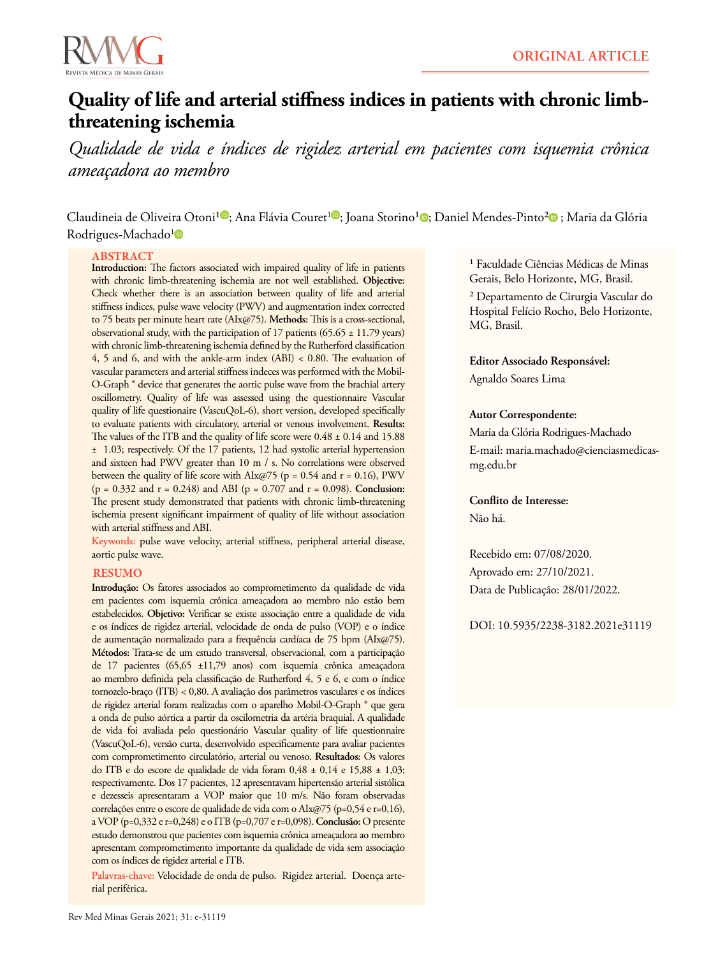



# **Quality of life and arterial stiffness indices in patients with chronic limbthreatening ischemia**

*Qualidade de vida e índices de rigidez arterial em pacientes com isquemia crônica ameaçadora ao membro*

Claudineia de Oliveira Otoni<sup>10</sup>[;](https://orcid.org/0000-0002-0629-3137) Ana Flávia Couret<sup>10</sup>; Joana Storino<sup>1</sup>0; Daniel Mendes-Pinto<sup>2</sup>0; Maria da Glória Rodrigues-Machado<sup>[1](https://orcid.org/0000-0002-9950-1707)</sup>

### **ABSTRACT**

**Introduction:** The factors associated with impaired quality of life in patients with chronic limb-threatening ischemia are not well established. **Objective:** Check whether there is an association between quality of life and arterial stiffness indices, pulse wave velocity (PWV) and augmentation index corrected to 75 beats per minute heart rate (AIx@75). **Methods:** This is a cross-sectional, observational study, with the participation of 17 patients (65.65  $\pm$  11.79 years) with chronic limb-threatening ischemia defined by the Rutherford classification 4, 5 and 6, and with the ankle-arm index (ABI) < 0.80. The evaluation of vascular parameters and arterial stiffness indeces was performed with the Mobil-O-Graph ® device that generates the aortic pulse wave from the brachial artery oscillometry. Quality of life was assessed using the questionnaire Vascular quality of life questionaire (VascuQoL-6), short version, developed specifically to evaluate patients with circulatory, arterial or venous involvement. **Results:** The values of the ITB and the quality of life score were  $0.48 \pm 0.14$  and 15.88 ± 1.03; respectively. Of the 17 patients, 12 had systolic arterial hypertension and sixteen had PWV greater than 10 m / s. No correlations were observed between the quality of life score with  $\text{AIx@75}$  (p = 0.54 and r = 0.16), PWV (p = 0.332 and r = 0.248) and ABI (p = 0.707 and r = 0.098). **Conclusion:**  The present study demonstrated that patients with chronic limb-threatening ischemia present significant impairment of quality of life without association with arterial stiffness and ABI.

**Keywords:** pulse wave velocity, arterial stiffness, peripheral arterial disease, aortic pulse wave.

### **RESUMO**

**Introdução:** Os fatores associados ao comprometimento da qualidade de vida em pacientes com isquemia crônica ameaçadora ao membro não estão bem estabelecidos. **Objetivo:** Verificar se existe associação entre a qualidade de vida e os índices de rigidez arterial, velocidade de onda de pulso (VOP) e o índice de aumentação normalizado para a frequência cardíaca de 75 bpm (AIx@75). **Métodos:** Trata-se de um estudo transversal, observacional, com a participação de 17 pacientes (65,65 ±11,79 anos) com isquemia crônica ameaçadora ao membro definida pela classificação de Rutherford 4, 5 e 6, e com o índice tornozelo-braço (ITB) < 0,80. A avaliação dos parâmetros vasculares e os índices de rigidez arterial foram realizadas com o aparelho Mobil-O-Graph ® que gera a onda de pulso aórtica a partir da oscilometria da artéria braquial. A qualidade de vida foi avaliada pelo questionário Vascular quality of life questionnaire (VascuQoL-6), versão curta, desenvolvido especificamente para avaliar pacientes com comprometimento circulatório, arterial ou venoso. **Resultados:** Os valores do ITB e do escore de qualidade de vida foram 0,48 ± 0,14 e 15,88 ± 1,03; respectivamente. Dos 17 pacientes, 12 apresentavam hipertensão arterial sistólica e dezesseis apresentaram a VOP maior que 10 m/s. Não foram observadas correlações entre o escore de qualidade de vida com o AIx@75 (p=0,54 e r=0,16), a VOP (p=0,332 e r=0,248) e o ITB (p=0,707 e r=0,098). **Conclusão:** O presente estudo demonstrou que pacientes com isquemia crônica ameaçadora ao membro apresentam comprometimento importante da qualidade de vida sem associação com os índices de rigidez arterial e ITB.

**Palavras-chave:** Velocidade de onda de pulso. Rigidez arterial. Doença arterial periférica.

<sup>1</sup> Faculdade Ciências Médicas de Minas Gerais, Belo Horizonte, MG, Brasil.

² Departamento de Cirurgia Vascular do Hospital Felício Rocho, Belo Horizonte, MG, Brasil.

**Editor Associado Responsável:** Agnaldo Soares Lima

#### **Autor Correspondente:**

Maria da Glória Rodrigues-Machado E-mail: maria.machado@cienciasmedicasmg.edu.br

## **Conflito de Interesse:**

Não há.

Recebido em: 07/08/2020. Aprovado em: 27/10/2021. Data de Publicação: 28/01/2022.

DOI: 10.5935/2238-3182.2021e31119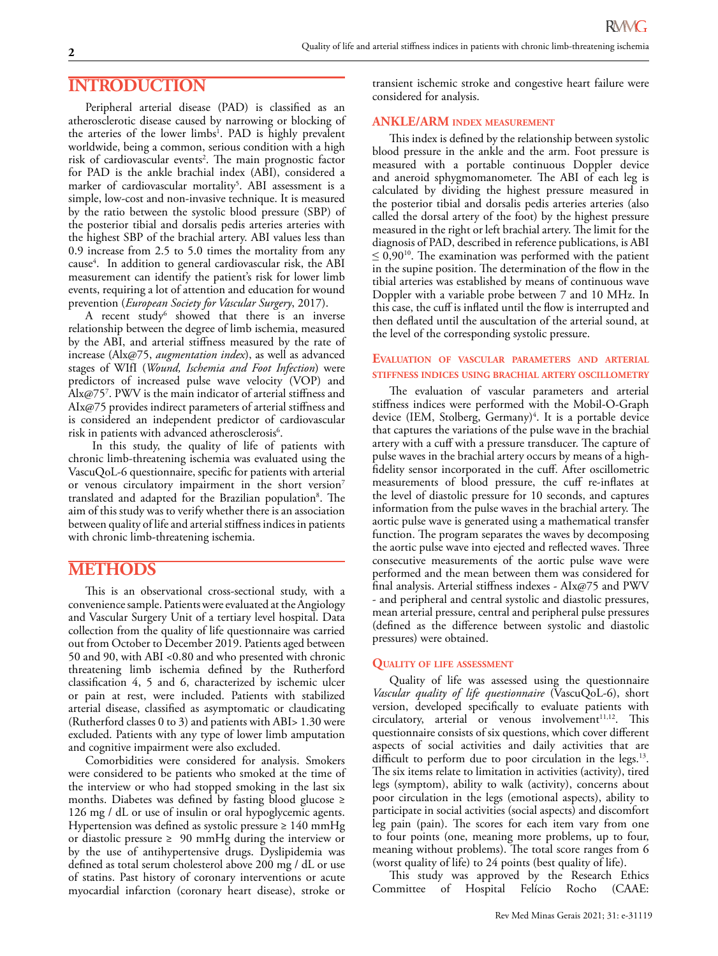# **INTRODUCTION**

Peripheral arterial disease (PAD) is classified as an atherosclerotic disease caused by narrowing or blocking of the arteries of the lower limbs<sup>1</sup>. PAD is highly prevalent worldwide, being a common, serious condition with a high risk of cardiovascular events<sup>2</sup>. The main prognostic factor for PAD is the ankle brachial index (ABI), considered a marker of cardiovascular mortality<sup>5</sup>. ABI assessment is a simple, low-cost and non-invasive technique. It is measured by the ratio between the systolic blood pressure (SBP) of the posterior tibial and dorsalis pedis arteries arteries with the highest SBP of the brachial artery. ABI values less than 0.9 increase from 2.5 to 5.0 times the mortality from any cause<sup>4</sup>. In addition to general cardiovascular risk, the ABI measurement can identify the patient's risk for lower limb events, requiring a lot of attention and education for wound prevention (*European Society for Vascular Surgery*, 2017).

A recent study<sup>6</sup> showed that there is an inverse relationship between the degree of limb ischemia, measured by the ABI, and arterial stiffness measured by the rate of increase (Alx@75, *augmentation index*), as well as advanced stages of WIfI (*Wound, Ischemia and Foot Infection*) were predictors of increased pulse wave velocity (VOP) and Alx@757 . PWV is the main indicator of arterial stiffness and AIx@75 provides indirect parameters of arterial stiffness and is considered an independent predictor of cardiovascular risk in patients with advanced atherosclerosis $^6\!$ .

 In this study, the quality of life of patients with chronic limb-threatening ischemia was evaluated using the VascuQoL-6 questionnaire, specific for patients with arterial or venous circulatory impairment in the short version<sup>7</sup> translated and adapted for the Brazilian population<sup>8</sup>. The aim of this study was to verify whether there is an association between quality of life and arterial stiffness indices in patients with chronic limb-threatening ischemia.

# **METHODS**

This is an observational cross-sectional study, with a convenience sample. Patients were evaluated at the Angiology and Vascular Surgery Unit of a tertiary level hospital. Data collection from the quality of life questionnaire was carried out from October to December 2019. Patients aged between 50 and 90, with ABI <0.80 and who presented with chronic threatening limb ischemia defined by the Rutherford classification 4, 5 and 6, characterized by ischemic ulcer or pain at rest, were included. Patients with stabilized arterial disease, classified as asymptomatic or claudicating (Rutherford classes 0 to 3) and patients with ABI> 1.30 were excluded. Patients with any type of lower limb amputation and cognitive impairment were also excluded.

Comorbidities were considered for analysis. Smokers were considered to be patients who smoked at the time of the interview or who had stopped smoking in the last six months. Diabetes was defined by fasting blood glucose ≥ 126 mg / dL or use of insulin or oral hypoglycemic agents. Hypertension was defined as systolic pressure ≥ 140 mmHg or diastolic pressure ≥ 90 mmHg during the interview or by the use of antihypertensive drugs. Dyslipidemia was defined as total serum cholesterol above 200 mg / dL or use of statins. Past history of coronary interventions or acute myocardial infarction (coronary heart disease), stroke or

transient ischemic stroke and congestive heart failure were considered for analysis.

## **ANKLE/ARM index measurement**

This index is defined by the relationship between systolic blood pressure in the ankle and the arm. Foot pressure is measured with a portable continuous Doppler device and aneroid sphygmomanometer. The ABI of each leg is calculated by dividing the highest pressure measured in the posterior tibial and dorsalis pedis arteries arteries (also called the dorsal artery of the foot) by the highest pressure measured in the right or left brachial artery. The limit for the diagnosis of PAD, described in reference publications, is ABI  $\leq 0.90^{10}$ . The examination was performed with the patient in the supine position. The determination of the flow in the tibial arteries was established by means of continuous wave Doppler with a variable probe between 7 and 10 MHz. In this case, the cuff is inflated until the flow is interrupted and then deflated until the auscultation of the arterial sound, at the level of the corresponding systolic pressure.

### **Evaluation of vascular parameters and arterial stiffness indices using brachial artery oscillometry**

The evaluation of vascular parameters and arterial stiffness indices were performed with the Mobil-O-Graph device (IEM, Stolberg, Germany)<sup>4</sup>. It is a portable device that captures the variations of the pulse wave in the brachial artery with a cuff with a pressure transducer. The capture of pulse waves in the brachial artery occurs by means of a highfidelity sensor incorporated in the cuff. After oscillometric measurements of blood pressure, the cuff re-inflates at the level of diastolic pressure for 10 seconds, and captures information from the pulse waves in the brachial artery. The aortic pulse wave is generated using a mathematical transfer function. The program separates the waves by decomposing the aortic pulse wave into ejected and reflected waves. Three consecutive measurements of the aortic pulse wave were performed and the mean between them was considered for final analysis. Arterial stiffness indexes - AIx@75 and PWV - and peripheral and central systolic and diastolic pressures, mean arterial pressure, central and peripheral pulse pressures (defined as the difference between systolic and diastolic pressures) were obtained.

## **Quality of life assessment**

Quality of life was assessed using the questionnaire *Vascular quality of life questionnaire* (VascuQoL-6), short version, developed specifically to evaluate patients with circulatory, arterial or venous involvement<sup>11,12</sup>. This questionnaire consists of six questions, which cover different aspects of social activities and daily activities that are difficult to perform due to poor circulation in the legs.<sup>13</sup>. The six items relate to limitation in activities (activity), tired legs (symptom), ability to walk (activity), concerns about poor circulation in the legs (emotional aspects), ability to participate in social activities (social aspects) and discomfort leg pain (pain). The scores for each item vary from one to four points (one, meaning more problems, up to four, meaning without problems). The total score ranges from 6 (worst quality of life) to 24 points (best quality of life).

This study was approved by the Research Ethics Committee of Hospital Felício Rocho (CAAE: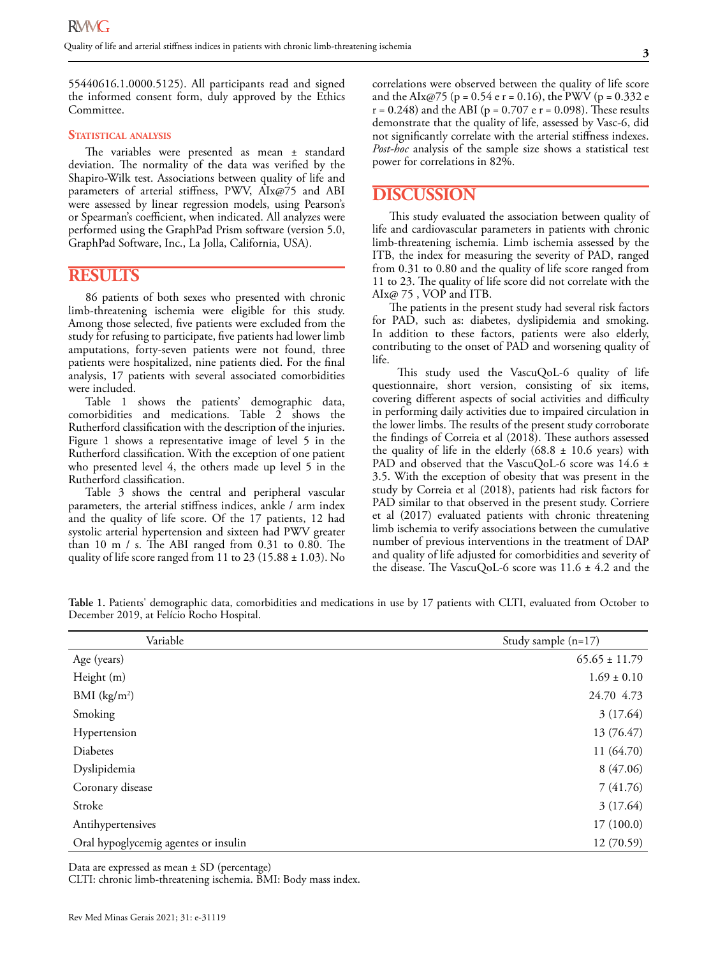55440616.1.0000.5125). All participants read and signed the informed consent form, duly approved by the Ethics Committee.

#### **Statistical analysis**

The variables were presented as mean ± standard deviation. The normality of the data was verified by the Shapiro-Wilk test. Associations between quality of life and parameters of arterial stiffness, PWV, AIx@75 and ABI were assessed by linear regression models, using Pearson's or Spearman's coefficient, when indicated. All analyzes were performed using the GraphPad Prism software (version 5.0, GraphPad Software, Inc., La Jolla, California, USA).

## **RESULTS**

86 patients of both sexes who presented with chronic limb-threatening ischemia were eligible for this study. Among those selected, five patients were excluded from the study for refusing to participate, five patients had lower limb amputations, forty-seven patients were not found, three patients were hospitalized, nine patients died. For the final analysis, 17 patients with several associated comorbidities were included.

Table 1 shows the patients' demographic data, comorbidities and medications. Table 2 shows the Rutherford classification with the description of the injuries. Figure 1 shows a representative image of level 5 in the Rutherford classification. With the exception of one patient who presented level 4, the others made up level 5 in the Rutherford classification.

Table 3 shows the central and peripheral vascular parameters, the arterial stiffness indices, ankle / arm index and the quality of life score. Of the 17 patients, 12 had systolic arterial hypertension and sixteen had PWV greater than 10 m / s. The ABI ranged from 0.31 to 0.80. The quality of life score ranged from 11 to 23 (15.88  $\pm$  1.03). No correlations were observed between the quality of life score and the AIx@75 (p =  $0.54$  e r =  $0.16$ ), the PWV (p =  $0.332$  e  $r = 0.248$ ) and the ABI ( $p = 0.707$  e  $r = 0.098$ ). These results demonstrate that the quality of life, assessed by Vasc-6, did not significantly correlate with the arterial stiffness indexes. *Post-hoc* analysis of the sample size shows a statistical test power for correlations in 82%.

## **DISCUSSION**

This study evaluated the association between quality of life and cardiovascular parameters in patients with chronic limb-threatening ischemia. Limb ischemia assessed by the ITB, the index for measuring the severity of PAD, ranged from 0.31 to 0.80 and the quality of life score ranged from 11 to 23. The quality of life score did not correlate with the AIx@ 75 , VOP and ITB.

The patients in the present study had several risk factors for PAD, such as: diabetes, dyslipidemia and smoking. In addition to these factors, patients were also elderly, contributing to the onset of PAD and worsening quality of life.

 This study used the VascuQoL-6 quality of life questionnaire, short version, consisting of six items, covering different aspects of social activities and difficulty in performing daily activities due to impaired circulation in the lower limbs. The results of the present study corroborate the findings of Correia et al (2018). These authors assessed the quality of life in the elderly  $(68.8 \pm 10.6 \text{ years})$  with PAD and observed that the VascuQoL-6 score was 14.6 ± 3.5. With the exception of obesity that was present in the study by Correia et al (2018), patients had risk factors for PAD similar to that observed in the present study. Corriere et al (2017) evaluated patients with chronic threatening limb ischemia to verify associations between the cumulative number of previous interventions in the treatment of DAP and quality of life adjusted for comorbidities and severity of the disease. The VascuQoL-6 score was 11.6 ± 4.2 and the

| Variable                             | Study sample $(n=17)$ |
|--------------------------------------|-----------------------|
| Age (years)                          | $65.65 \pm 11.79$     |
| Height (m)                           | $1.69 \pm 0.10$       |
| BMI $(kg/m^2)$                       | 24.70 4.73            |
| Smoking                              | 3(17.64)              |
| Hypertension                         | 13 (76.47)            |
| Diabetes                             | 11 (64.70)            |
| Dyslipidemia                         | 8 (47.06)             |
| Coronary disease                     | 7(41.76)              |
| Stroke                               | 3(17.64)              |
| Antihypertensives                    | 17(100.0)             |
| Oral hypoglycemig agentes or insulin | 12(70.59)             |

**Table 1.** Patients' demographic data, comorbidities and medications in use by 17 patients with CLTI, evaluated from October to December 2019, at Felício Rocho Hospital.

Data are expressed as mean ± SD (percentage)

CLTI: chronic limb-threatening ischemia. BMI: Body mass index.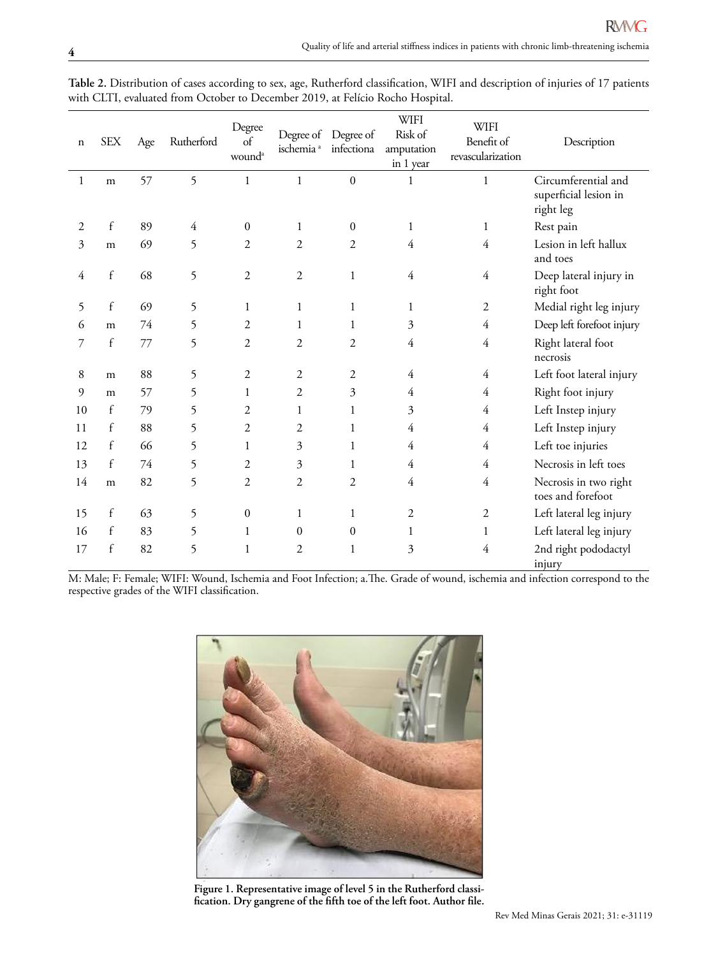| n              | <b>SEX</b>   | $\rm Age$ | Rutherford     | Degree<br>of<br>wound <sup>a</sup> | ischemia <sup>a</sup> | Degree of Degree of<br>infectiona | <b>WIFI</b><br>Risk of<br>amputation<br>in 1 year | <b>WIFI</b><br>Benefit of<br>revascularization | Description                                               |
|----------------|--------------|-----------|----------------|------------------------------------|-----------------------|-----------------------------------|---------------------------------------------------|------------------------------------------------|-----------------------------------------------------------|
| $\mathbf{1}$   | ${\bf m}$    | 57        | 5              | $\mathbf{1}$                       | $\mathbf{1}$          | $\boldsymbol{0}$                  | 1                                                 | $\mathbf{1}$                                   | Circumferential and<br>superficial lesion in<br>right leg |
| $\overline{2}$ | $\mathbf f$  | 89        | $\overline{4}$ | $\mathbf{0}$                       | 1                     | $\mathbf{0}$                      | 1                                                 | 1                                              | Rest pain                                                 |
| 3              | m            | 69        | 5              | 2                                  | $\overline{2}$        | 2                                 | 4                                                 | 4                                              | Lesion in left hallux<br>and toes                         |
| 4              | $\mathbf f$  | 68        | 5              | $\mathfrak{2}$                     | $\mathfrak{2}$        | 1                                 | $\overline{4}$                                    | 4                                              | Deep lateral injury in<br>right foot                      |
| 5              | $\mathbf f$  | 69        | 5              | 1                                  | $\mathbf{1}$          | 1                                 | 1                                                 | $\overline{2}$                                 | Medial right leg injury                                   |
| 6              | m            | 74        | 5              | $\overline{2}$                     | 1                     | 1                                 | 3                                                 | 4                                              | Deep left forefoot injury                                 |
| 7              | $\mathbf f$  | 77        | 5              | $\overline{2}$                     | 2                     | 2                                 | 4                                                 | 4                                              | Right lateral foot<br>necrosis                            |
| 8              | m            | 88        | 5              | $\mathfrak{2}$                     | $\overline{2}$        | 2                                 | $\overline{4}$                                    | 4                                              | Left foot lateral injury                                  |
| 9              | m            | 57        | 5              | 1                                  | $\overline{2}$        | 3                                 | 4                                                 | 4                                              | Right foot injury                                         |
| 10             | $\mathsf{f}$ | 79        | 5              | 2                                  | 1                     | 1                                 | 3                                                 | 4                                              | Left Instep injury                                        |
| 11             | $\mathbf{f}$ | 88        | 5              | $\overline{2}$                     | $\overline{2}$        | 1                                 | $\overline{4}$                                    | 4                                              | Left Instep injury                                        |
| 12             | f            | 66        | 5              | 1                                  | 3                     | 1                                 | 4                                                 | 4                                              | Left toe injuries                                         |
| 13             | f            | 74        | 5              | 2                                  | 3                     | 1                                 | $\overline{4}$                                    | 4                                              | Necrosis in left toes                                     |
| 14             | m            | 82        | 5              | 2                                  | $\mathfrak{2}$        | 2                                 | $\overline{4}$                                    | 4                                              | Necrosis in two right<br>toes and forefoot                |
| 15             | f            | 63        | 5              | $\mathbf{0}$                       | 1                     | 1                                 | 2                                                 | 2                                              | Left lateral leg injury                                   |
| 16             | $\mathbf f$  | 83        | 5              | 1                                  | $\mathbf{0}$          | $\mathbf{0}$                      | 1                                                 | 1                                              | Left lateral leg injury                                   |
| 17             | f            | 82        | 5              | 1                                  | $\sqrt{2}$            | 1                                 | 3                                                 | 4                                              | 2nd right pododactyl<br>injury                            |

**Table 2.** Distribution of cases according to sex, age, Rutherford classification, WIFI and description of injuries of 17 patients with CLTI, evaluated from October to December 2019, at Felício Rocho Hospital.

M: Male; F: Female; WIFI: Wound, Ischemia and Foot Infection; a.The. Grade of wound, ischemia and infection correspond to the respective grades of the WIFI classification.



**Figure 1. Representative image of level 5 in the Rutherford classification. Dry gangrene of the fifth toe of the left foot. Author file.**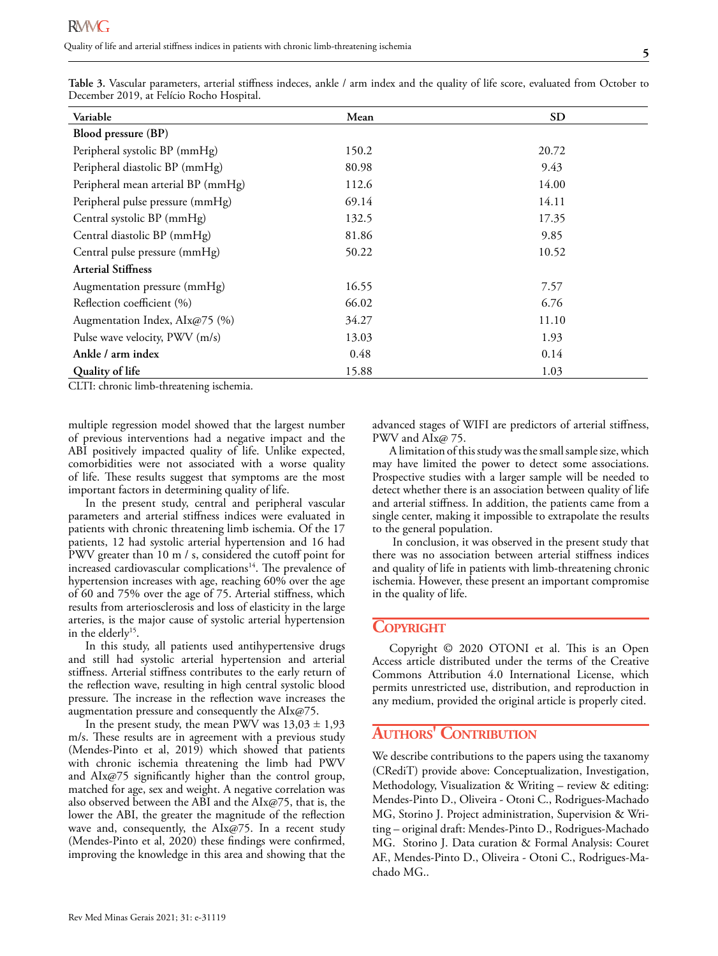| Table 3. Vascular parameters, arterial stiffness indeces, ankle / arm index and the quality of life score, evaluated from October to<br>December 2019, at Felício Rocho Hospital. |           |  |  |  |  |  |  |
|-----------------------------------------------------------------------------------------------------------------------------------------------------------------------------------|-----------|--|--|--|--|--|--|
| Mean                                                                                                                                                                              | <b>SD</b> |  |  |  |  |  |  |
|                                                                                                                                                                                   |           |  |  |  |  |  |  |
| 150.2                                                                                                                                                                             | 20.72     |  |  |  |  |  |  |
| 80.98                                                                                                                                                                             | 9.43      |  |  |  |  |  |  |
| 112.6                                                                                                                                                                             | 14.00     |  |  |  |  |  |  |
| 69.14                                                                                                                                                                             | 14.11     |  |  |  |  |  |  |
| 132.5                                                                                                                                                                             | 17.35     |  |  |  |  |  |  |
| 81.86                                                                                                                                                                             | 9.85      |  |  |  |  |  |  |
| 50.22                                                                                                                                                                             | 10.52     |  |  |  |  |  |  |
|                                                                                                                                                                                   |           |  |  |  |  |  |  |
| 16.55                                                                                                                                                                             | 7.57      |  |  |  |  |  |  |
| 66.02                                                                                                                                                                             | 6.76      |  |  |  |  |  |  |
| 34.27                                                                                                                                                                             | 11.10     |  |  |  |  |  |  |
| 13.03                                                                                                                                                                             | 1.93      |  |  |  |  |  |  |
|                                                                                                                                                                                   |           |  |  |  |  |  |  |

**Ankle / arm index**  0.48 0.14 **Quality of life** 15.88 1.03

**Table 3.** Vascular parameters, arterial stiffness indeces, ankle / arm index and the quality of life score, evaluated from October to December 2019, at Felício Rocho Hospital.

CLTI: chronic limb-threatening ischemia.

multiple regression model showed that the largest number of previous interventions had a negative impact and the ABI positively impacted quality of life. Unlike expected, comorbidities were not associated with a worse quality of life. These results suggest that symptoms are the most important factors in determining quality of life.

In the present study, central and peripheral vascular parameters and arterial stiffness indices were evaluated in patients with chronic threatening limb ischemia. Of the 17 patients, 12 had systolic arterial hypertension and 16 had PWV greater than 10 m / s, considered the cutoff point for increased cardiovascular complications<sup>14</sup>. The prevalence of hypertension increases with age, reaching 60% over the age of 60 and 75% over the age of 75. Arterial stiffness, which results from arteriosclerosis and loss of elasticity in the large arteries, is the major cause of systolic arterial hypertension in the elderly<sup>15</sup>.

In this study, all patients used antihypertensive drugs and still had systolic arterial hypertension and arterial stiffness. Arterial stiffness contributes to the early return of the reflection wave, resulting in high central systolic blood pressure. The increase in the reflection wave increases the augmentation pressure and consequently the AIx@75.

In the present study, the mean PWV was  $13,03 \pm 1,93$ m/s. These results are in agreement with a previous study (Mendes-Pinto et al, 2019) which showed that patients with chronic ischemia threatening the limb had PWV and AIx@75 significantly higher than the control group, matched for age, sex and weight. A negative correlation was also observed between the ABI and the AIx@75, that is, the lower the ABI, the greater the magnitude of the reflection wave and, consequently, the AIx@75. In a recent study (Mendes-Pinto et al, 2020) these findings were confirmed, improving the knowledge in this area and showing that the advanced stages of WIFI are predictors of arterial stiffness, PWV and AIx@ 75.

A limitation of this study was the small sample size, which may have limited the power to detect some associations. Prospective studies with a larger sample will be needed to detect whether there is an association between quality of life and arterial stiffness. In addition, the patients came from a single center, making it impossible to extrapolate the results to the general population.

 In conclusion, it was observed in the present study that there was no association between arterial stiffness indices and quality of life in patients with limb-threatening chronic ischemia. However, these present an important compromise in the quality of life.

### **COPYRIGHT**

Copyright © 2020 OTONI et al. This is an Open Access article distributed under the terms of the Creative Commons Attribution 4.0 International License, which permits unrestricted use, distribution, and reproduction in any medium, provided the original article is properly cited.

## **Authors' Contribution**

We describe contributions to the papers using the taxanomy (CRediT) provide above: Conceptualization, Investigation, Methodology, Visualization & Writing – review & editing: Mendes-Pinto D., Oliveira - Otoni C., Rodrigues-Machado MG, Storino J. Project administration, Supervision & Writing – original draft: Mendes-Pinto D., Rodrigues-Machado MG. Storino J. Data curation & Formal Analysis: Couret AF., Mendes-Pinto D., Oliveira - Otoni C., Rodrigues-Machado MG..